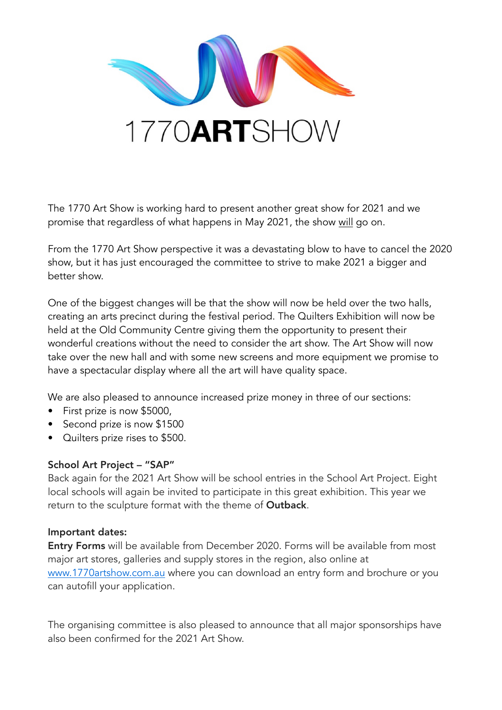

The 1770 Art Show is working hard to present another great show for 2021 and we promise that regardless of what happens in May 2021, the show will go on.

From the 1770 Art Show perspective it was a devastating blow to have to cancel the 2020 show, but it has just encouraged the committee to strive to make 2021 a bigger and better show.

One of the biggest changes will be that the show will now be held over the two halls, creating an arts precinct during the festival period. The Quilters Exhibition will now be held at the Old Community Centre giving them the opportunity to present their wonderful creations without the need to consider the art show. The Art Show will now take over the new hall and with some new screens and more equipment we promise to have a spectacular display where all the art will have quality space.

We are also pleased to announce increased prize money in three of our sections:

- First prize is now \$5000,
- Second prize is now \$1500
- Quilters prize rises to \$500.

## School Art Project – "SAP"

Back again for the 2021 Art Show will be school entries in the School Art Project. Eight local schools will again be invited to participate in this great exhibition. This year we return to the sculpture format with the theme of Outback.

## Important dates:

Entry Forms will be available from December 2020. Forms will be available from most major art stores, galleries and supply stores in the region, also online at [www.1770artshow.com.au](http://www.1770artshow.com.au/) where you can download an entry form and brochure or you can autofill your application.

The organising committee is also pleased to announce that all major sponsorships have also been confirmed for the 2021 Art Show.